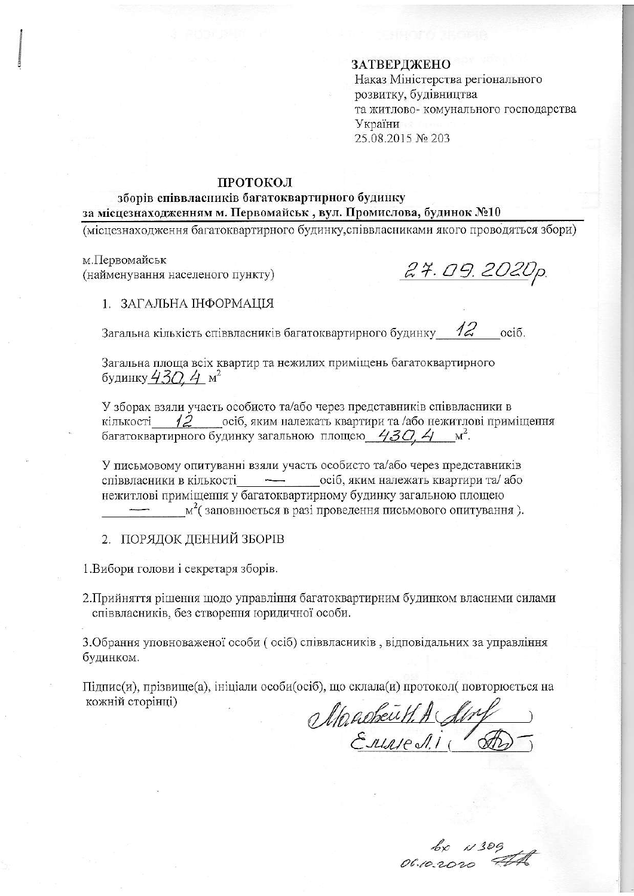### **ЗАТВЕРДЖЕНО**

Наказ Міністерства регіонального розвитку, будівництва та житлово- комунального господарства України 25.08.2015 № 203

#### ПРОТОКОЛ

### зборів співвласників багатоквартирного будинку за місцезнаходженням м. Первомайськ, вул. Промислова, будинок №10

(місцезнаходження багатоквартирного будинку, співвласниками якого проводяться збори)

м.Первомайськ (найменування населеного пункту)

27.09.2020p.

1. ЗАГАЛЬНА ІНФОРМАЦІЯ

Загальна кількість співвласників багатоквартирного будинку  $-42$ oci<sub>6</sub>.

Загальна площа всіх квартир та нежилих приміщень багатоквартирного будинку 430.4 м<sup>2</sup>

У зборах взяли участь особисто та/або через представників співвласники в кількості 12 осіб, яким належать квартири та /або нежитлові приміщення багатоквартирного будинку загальною площею 430, 4 м<sup>2</sup>.

У письмовому опитуванні взяли участь особисто та/або через представників співвласники в кількості осіб, яким належать квартири та/або нежитлові приміщення у багатоквартирному будинку загальною площею  $\mu^2$ (заповнюється в разі проведення письмового опитування).

2. ПОРЯДОК ДЕННИЙ ЗБОРІВ

1. Вибори голови і секретаря зборів.

2. Прийняття рішення щодо управління багатоквартирним будинком власними силами співвласників, без створення юридичної особи.

3. Обрання уповноваженої особи (осіб) співвласників, відповідальних за управління будинком.

Підпис(и), прізвище(а), ініціали особи(осіб), що склала(и) протокол(повторюється на кожній сторінці)

Mancheuth A diry

 $6x$   $x309$ <br>06.10.2020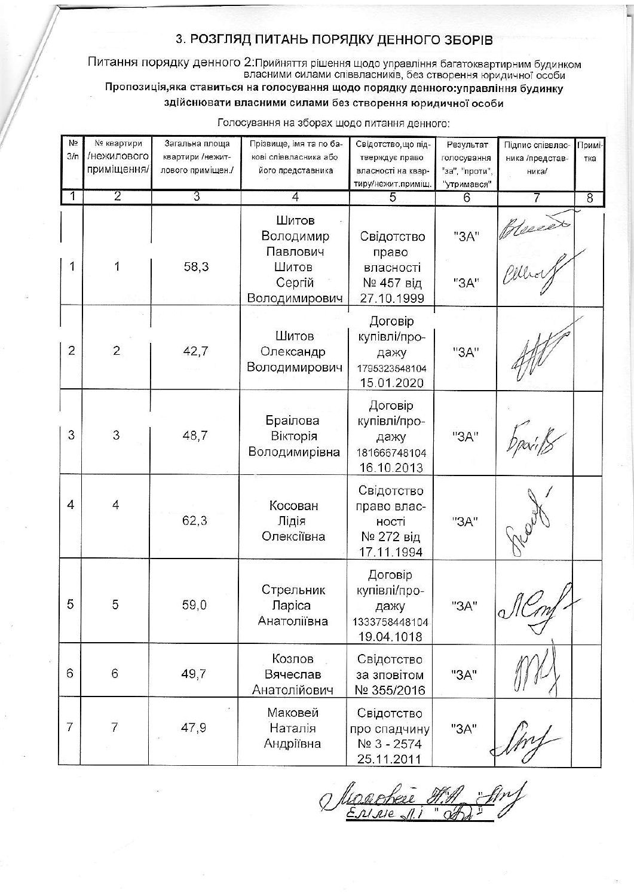# 3. РОЗГЛЯД ПИТАНЬ ПОРЯДКУ ДЕННОГО ЗБОРІВ

Питання порядку денного 2: Прийняття рішення щодо управління багатоквартирним будинком<br>власними силами співвласників, без створення юридичної особи Пропозиція, яка ставиться на голосування щодо порядку денного: управління будинку здійснювати власними силами без створення юридичної особи

| N <sub>2</sub><br>3/n | № квартири<br>/нежилового<br>приміщення/ | Загальна площа<br>квартири /нежит-<br>лового приміщен./ | Прізвище, імя та по ба-<br>кові співвласника або<br>його представника | Свідотство, що під-<br>тверждує право<br>власності на квар-<br>тиру/нежит.приміщ. | Результат<br>голосування<br>"за", "проти",<br>"утримався" | Підпис співвлас-<br>ника /представ-<br>ника/ | Примі-<br>тка  |
|-----------------------|------------------------------------------|---------------------------------------------------------|-----------------------------------------------------------------------|-----------------------------------------------------------------------------------|-----------------------------------------------------------|----------------------------------------------|----------------|
| $\mathbf{1}$          | $\overline{2}$                           | 3                                                       | $\overline{4}$                                                        | 5                                                                                 | 6                                                         |                                              | $\overline{8}$ |
| 1                     |                                          | 58,3                                                    | Шитов<br>Володимир<br>Павлович<br>Шитов<br>Сергій<br>Володимирович    | Свідотство<br>право<br>власності<br>№ 457 від<br>27.10.1999                       | "3A"<br>"3A"                                              | Bleesex                                      |                |
| $\overline{2}$        | $\overline{2}$                           | 42,7                                                    | Шитов<br>Олександр<br>Володимирович                                   | Договір<br>купівлі/про-<br>дажу<br>1795323548104<br>15.01.2020                    | "3A"                                                      |                                              |                |
| 3                     | 3                                        | 48,7                                                    | Браілова<br>Вікторія<br>Володимирівна                                 | Договір<br>купівлі/про-<br>дажу<br>181666748104<br>16.10.2013                     | "3A"                                                      |                                              |                |
| 4                     | 4                                        | 62,3                                                    | Косован<br>Лідія<br>Олексіївна                                        | Свідотство<br>право влас-<br>ності<br>№ 272 від<br>17.11.1994                     | "3A"                                                      |                                              |                |
| 5                     | 5                                        | 59,0                                                    | Стрельник<br>Ларіса<br>Анатоліївна                                    | Договір<br>купівлі/про-<br>дажу<br>1333758448104<br>19.04.1018                    | "3A"                                                      | Q/1                                          |                |
| 6                     | 6                                        | 49,7                                                    | Козлов<br>Вячеслав<br>Анатолійович                                    | Свідотство<br>за зповітом<br>Nº 355/2016                                          | "3A"                                                      |                                              |                |
| $\overline{7}$        | $\overline{7}$                           | 47,9                                                    | Маковей<br>Наталія<br>Андріївна                                       | Свідотство<br>про спадчину<br>Nº 3 - 2574<br>25.11.2011                           | "3A"                                                      |                                              |                |

Голосування на зборах щодо питання денного: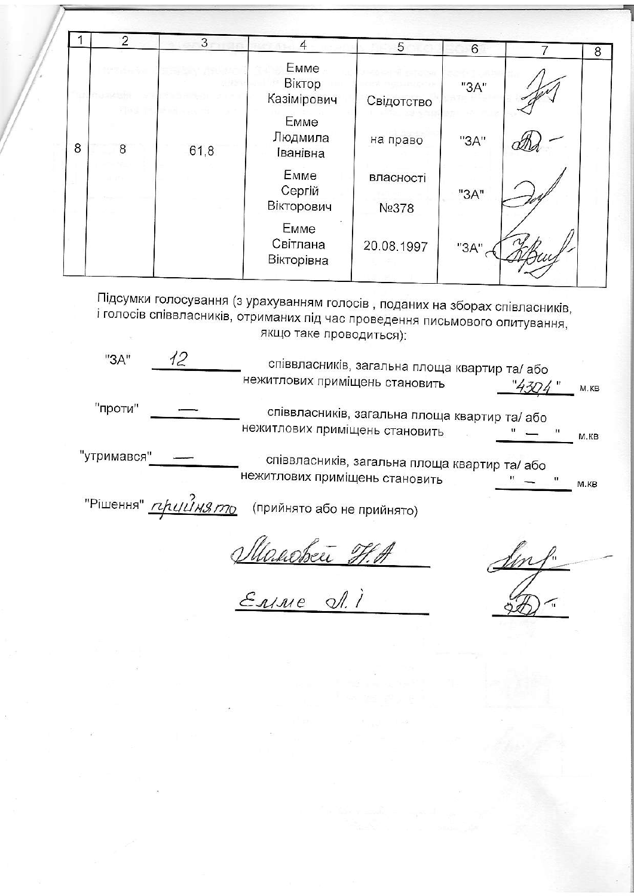|   | $\overline{2}$ | 3    | $\overline{4}$                 | 5                  | 6    | 8 |
|---|----------------|------|--------------------------------|--------------------|------|---|
|   | 91 B.U.        |      | Емме<br>Віктор<br>Казімірович  | Свідотство         | "3A" |   |
| 8 | $\,8\,$        | 61,8 | Емме<br>Людмила<br>Іванівна    | на право           | "3A" |   |
|   |                |      | Eмме<br>Сергій<br>Вікторович   | власності<br>No378 | "3A" |   |
|   |                |      | Emme<br>Світлана<br>Вікторівна | 20.08.1997         | "3A" |   |

Підсумки голосування (з урахуванням голосів, поданих на зборах співласників, і голосів співвласників, отриманих під час проведення письмового опитування, якщо таке проводиться):

| "3A"        |                    |                                |                            |  | співвласників, загальна площа квартир та/ або |  |      |
|-------------|--------------------|--------------------------------|----------------------------|--|-----------------------------------------------|--|------|
|             |                    | нежитлових приміщень становить |                            |  |                                               |  | M.KB |
| "проти"     |                    |                                |                            |  | співвласників, загальна площа квартир та/або  |  |      |
|             |                    | нежитлових приміщень становить |                            |  |                                               |  | M.KB |
| 'утримався" |                    |                                |                            |  | співвласників, загальна площа квартир та/ або |  |      |
|             |                    | нежитлових приміщень становить |                            |  |                                               |  | M.KB |
|             | "Рішення" прийнято |                                | (прийнято або не прийнято) |  |                                               |  |      |
|             |                    |                                |                            |  |                                               |  |      |

<u>Manoben H.A</u><br>Enne I.I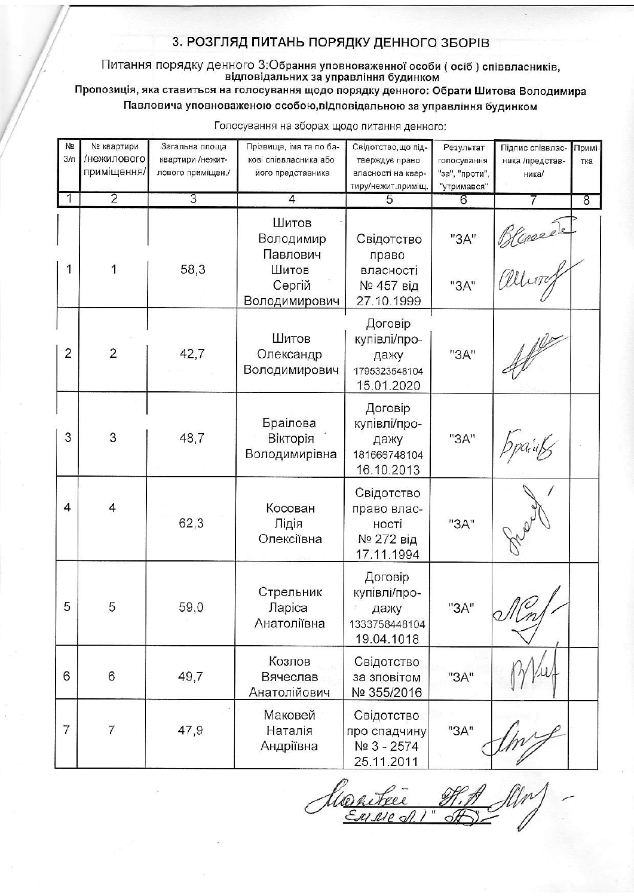## 3. РОЗГЛЯД ПИТАНЬ ПОРЯДКУ ДЕННОГО ЗБОРІВ

Питання порядку денного 3:Обрання уповноваженної особи (осіб) співвласників,<br>відповідальних за управління будинком

Пропозиція, яка ставиться на голосування щодо порядку денного: Обрати Шитова Володимира Павловича уповноваженою особою, відповідальною за управління будинком

| Nº             | № квартири     | Загальна площа    | Прізвище, імя та по ба-               | Свідотство, що під-                                            | Результат      | Підпис співвлас- | Примі-         |
|----------------|----------------|-------------------|---------------------------------------|----------------------------------------------------------------|----------------|------------------|----------------|
| 3/n            | /нежилового    | квартири /нежит-  | кові співвласника або                 | тверждує право                                                 | голосування    | ника /представ-  | тка            |
|                | приміщення/    | лового приміщен./ | його представника                     | власності на квар-                                             | "за", "проти", | ника/            |                |
|                |                |                   |                                       | тиру/нежит.приміщ.                                             | "утримався"    |                  |                |
| 1              | $\overline{2}$ | $\overline{3}$    | $\overline{4}$                        | 5                                                              | 6              |                  | $\overline{8}$ |
|                |                |                   | Шитов<br>Володимир<br>Павлович        | Свідотство<br>право                                            | "3A"           | Blace de         |                |
| 1              | 1              | 58,3              | Шитов<br>Сергій<br>Володимирович      | власності<br>№ 457 від<br>27.10.1999                           | "3A"           |                  |                |
| $\overline{2}$ | $\overline{2}$ | 42,7              | Шитов<br>Олександр<br>Володимирович   | Договір<br>купівлі/про-<br>дажу<br>1795323548104<br>15.01.2020 | "3A"           |                  |                |
| 3              | 3              | 48,7              | Браілова<br>Вікторія<br>Володимирівна | Договір<br>купівлі/про-<br>дажу<br>181666748104<br>16.10.2013  | "3A"           |                  |                |
| $\overline{4}$ | 4              | 62,3              | Косован<br>Лідія<br>Олексіївна        | Свідотство<br>право влас-<br>ності<br>№ 272 від<br>17.11.1994  | "3A"           |                  |                |
| 5              | 5              | 59,0              | Стрельник<br>Ларіса<br>Анатоліївна    | Договір<br>купівлі/про-<br>дажу<br>1333758448104<br>19.04.1018 | "3A"           | $Q$ / $1$        |                |
| 6              | 6              | 49,7              | Козлов<br>Вячеслав<br>Анатолійович    | Свідотство<br>за зповітом<br>Nº 355/2016                       | "3A"           |                  |                |
| 7              | $\overline{7}$ | 47,9              | Маковей<br>Наталія<br>Андріївна       | Свідотство<br>про спадчину<br>Nº 3 - 2574<br>25.11.2011        | "3A"           |                  |                |

Голосування на зборах щодо питання денного: